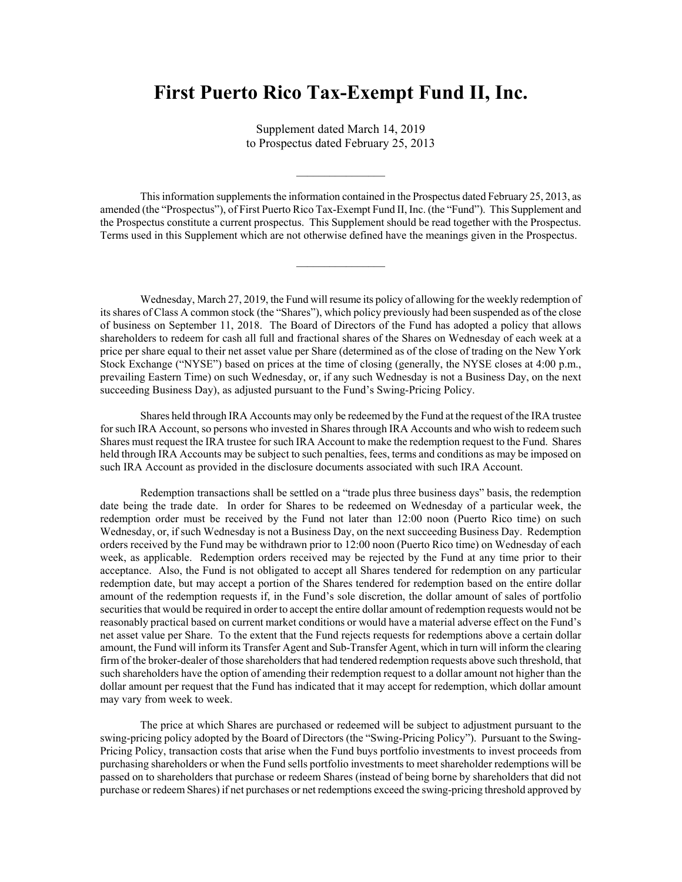## **First Puerto Rico Tax-Exempt Fund II, Inc.**

Supplement dated March 14, 2019 to Prospectus dated February 25, 2013

This information supplements the information contained in the Prospectus dated February 25, 2013, as amended (the "Prospectus"), of First Puerto Rico Tax-Exempt Fund II, Inc. (the "Fund"). This Supplement and the Prospectus constitute a current prospectus. This Supplement should be read together with the Prospectus. Terms used in this Supplement which are not otherwise defined have the meanings given in the Prospectus.

Wednesday, March 27, 2019, the Fund will resume its policy of allowing for the weekly redemption of its shares of Class A common stock (the "Shares"), which policy previously had been suspended as of the close of business on September 11, 2018. The Board of Directors of the Fund has adopted a policy that allows shareholders to redeem for cash all full and fractional shares of the Shares on Wednesday of each week at a price per share equal to their net asset value per Share (determined as of the close of trading on the New York Stock Exchange ("NYSE") based on prices at the time of closing (generally, the NYSE closes at 4:00 p.m., prevailing Eastern Time) on such Wednesday, or, if any such Wednesday is not a Business Day, on the next succeeding Business Day), as adjusted pursuant to the Fund's Swing-Pricing Policy.

Shares held through IRA Accounts may only be redeemed by the Fund at the request of the IRA trustee for such IRA Account, so persons who invested in Shares through IRA Accounts and who wish to redeem such Shares must request the IRA trustee for such IRA Account to make the redemption request to the Fund. Shares held through IRA Accounts may be subject to such penalties, fees, terms and conditions as may be imposed on such IRA Account as provided in the disclosure documents associated with such IRA Account.

Redemption transactions shall be settled on a "trade plus three business days" basis, the redemption date being the trade date. In order for Shares to be redeemed on Wednesday of a particular week, the redemption order must be received by the Fund not later than 12:00 noon (Puerto Rico time) on such Wednesday, or, if such Wednesday is not a Business Day, on the next succeeding Business Day. Redemption orders received by the Fund may be withdrawn prior to 12:00 noon (Puerto Rico time) on Wednesday of each week, as applicable. Redemption orders received may be rejected by the Fund at any time prior to their acceptance. Also, the Fund is not obligated to accept all Shares tendered for redemption on any particular redemption date, but may accept a portion of the Shares tendered for redemption based on the entire dollar amount of the redemption requests if, in the Fund's sole discretion, the dollar amount of sales of portfolio securities that would be required in order to accept the entire dollar amount of redemption requests would not be reasonably practical based on current market conditions or would have a material adverse effect on the Fund's net asset value per Share. To the extent that the Fund rejects requests for redemptions above a certain dollar amount, the Fund will inform its Transfer Agent and Sub-Transfer Agent, which in turn will inform the clearing firm of the broker-dealer of those shareholders that had tendered redemption requests above such threshold, that such shareholders have the option of amending their redemption request to a dollar amount not higher than the dollar amount per request that the Fund has indicated that it may accept for redemption, which dollar amount may vary from week to week.

The price at which Shares are purchased or redeemed will be subject to adjustment pursuant to the swing-pricing policy adopted by the Board of Directors (the "Swing-Pricing Policy"). Pursuant to the Swing-Pricing Policy, transaction costs that arise when the Fund buys portfolio investments to invest proceeds from purchasing shareholders or when the Fund sells portfolio investments to meet shareholder redemptions will be passed on to shareholders that purchase or redeem Shares (instead of being borne by shareholders that did not purchase or redeem Shares) if net purchases or net redemptions exceed the swing-pricing threshold approved by